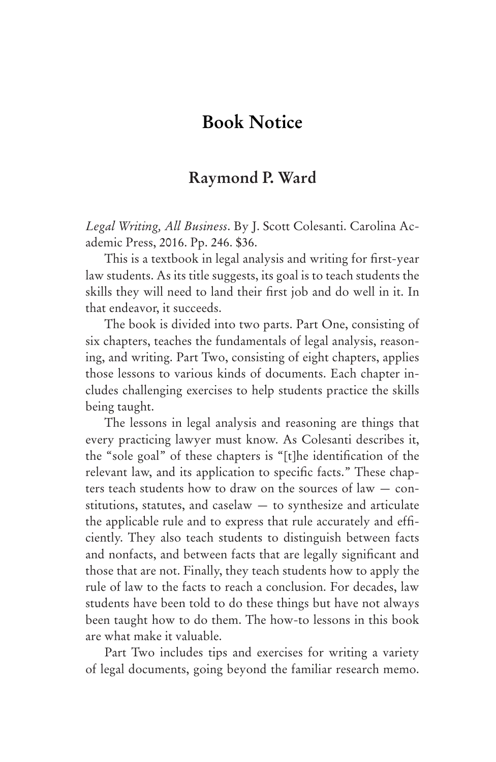## **Book Notice**

## **Raymond P. Ward**

*Legal Writing, All Business*. By J. Scott Colesanti. Carolina Academic Press, 2016. Pp. 246. \$36.

This is a textbook in legal analysis and writing for first-year law students. As its title suggests, its goal is to teach students the skills they will need to land their first job and do well in it. In that endeavor, it succeeds.

The book is divided into two parts. Part One, consisting of six chapters, teaches the fundamentals of legal analysis, reasoning, and writing. Part Two, consisting of eight chapters, applies those lessons to various kinds of documents. Each chapter includes challenging exercises to help students practice the skills being taught.

The lessons in legal analysis and reasoning are things that every practicing lawyer must know. As Colesanti describes it, the "sole goal" of these chapters is "[t]he identification of the relevant law, and its application to specific facts." These chapters teach students how to draw on the sources of law — constitutions, statutes, and caselaw — to synthesize and articulate the applicable rule and to express that rule accurately and efficiently. They also teach students to distinguish between facts and nonfacts, and between facts that are legally significant and those that are not. Finally, they teach students how to apply the rule of law to the facts to reach a conclusion. For decades, law students have been told to do these things but have not always been taught how to do them. The how-to lessons in this book are what make it valuable.

Part Two includes tips and exercises for writing a variety of legal documents, going beyond the familiar research memo.